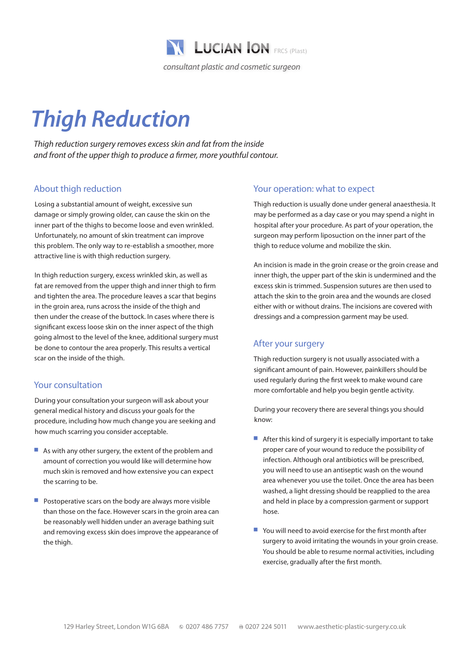

# *Thigh Reduction*

*Thigh reduction surgery removes excess skin and fat from the inside and front of the upper thigh to produce a firmer, more youthful contour.*

## About thigh reduction

Losing a substantial amount of weight, excessive sun damage or simply growing older, can cause the skin on the inner part of the thighs to become loose and even wrinkled. Unfortunately, no amount of skin treatment can improve this problem. The only way to re-establish a smoother, more attractive line is with thigh reduction surgery.

In thigh reduction surgery, excess wrinkled skin, as well as fat are removed from the upper thigh and inner thigh to firm and tighten the area. The procedure leaves a scar that begins in the groin area, runs across the inside of the thigh and then under the crease of the buttock. In cases where there is significant excess loose skin on the inner aspect of the thigh going almost to the level of the knee, additional surgery must be done to contour the area properly. This results a vertical scar on the inside of the thigh.

#### Your consultation

During your consultation your surgeon will ask about your general medical history and discuss your goals for the procedure, including how much change you are seeking and how much scarring you consider acceptable.

- $\blacksquare$  As with any other surgery, the extent of the problem and amount of correction you would like will determine how much skin is removed and how extensive you can expect the scarring to be.
- $\blacksquare$  Postoperative scars on the body are always more visible than those on the face. However scars in the groin area can be reasonably well hidden under an average bathing suit and removing excess skin does improve the appearance of the thigh.

#### Your operation: what to expect

Thigh reduction is usually done under general anaesthesia. It may be performed as a day case or you may spend a night in hospital after your procedure. As part of your operation, the surgeon may perform liposuction on the inner part of the thigh to reduce volume and mobilize the skin.

An incision is made in the groin crease or the groin crease and inner thigh, the upper part of the skin is undermined and the excess skin is trimmed. Suspension sutures are then used to attach the skin to the groin area and the wounds are closed either with or without drains. The incisions are covered with dressings and a compression garment may be used.

#### After your surgery

Thigh reduction surgery is not usually associated with a significant amount of pain. However, painkillers should be used regularly during the first week to make wound care more comfortable and help you begin gentle activity.

During your recovery there are several things you should know:

- $\blacksquare$  After this kind of surgery it is especially important to take proper care of your wound to reduce the possibility of infection. Although oral antibiotics will be prescribed, you will need to use an antiseptic wash on the wound area whenever you use the toilet. Once the area has been washed, a light dressing should be reapplied to the area and held in place by a compression garment or support hose.
- $\blacksquare$  You will need to avoid exercise for the first month after surgery to avoid irritating the wounds in your groin crease. You should be able to resume normal activities, including exercise, gradually after the first month.